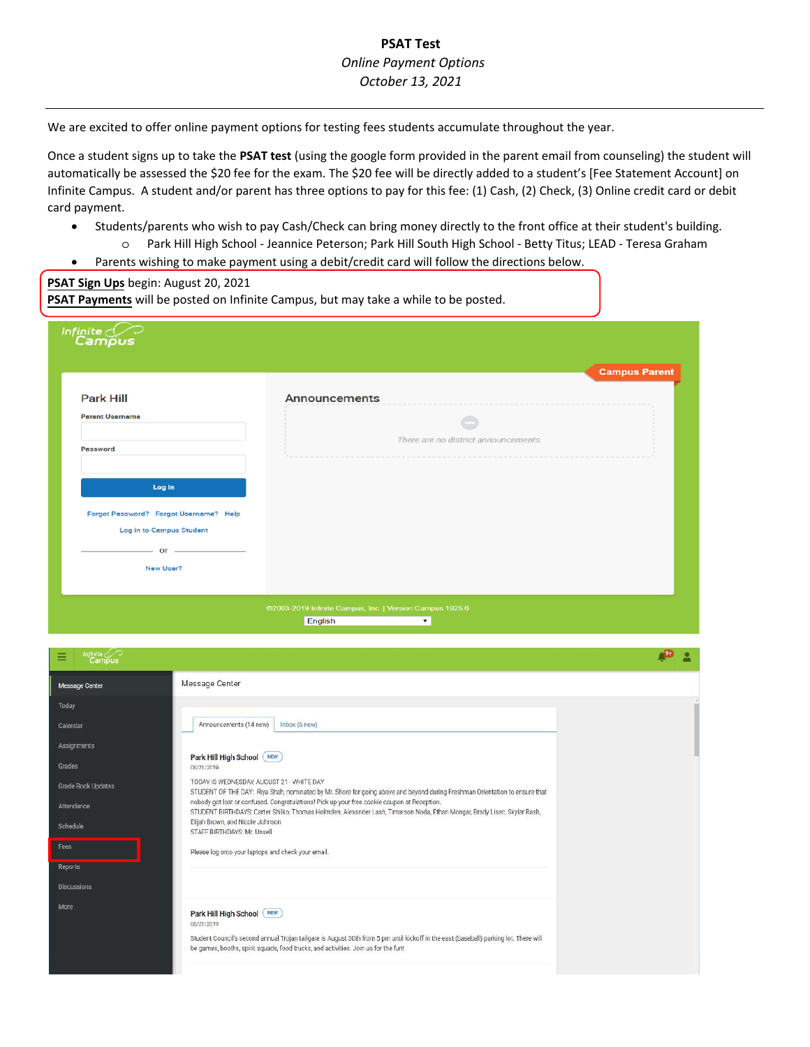## **PSAT Test** *Online Payment Options October 13, 2021*

We are excited to offer online payment options for testing fees students accumulate throughout the year.

Once a student signs up to take the **PSAT test** (using the google form provided in the parent email from counseling) the student will automatically be assessed the \$20 fee for the exam. The \$20 fee will be directly added to a student's [Fee Statement Account] on Infinite Campus. A student and/or parent has three options to pay for this fee: (1) Cash, (2) Check, (3) Online credit card or debit card payment.

- Students/parents who wish to pay Cash/Check can bring money directly to the front office at their student's building.
	- o Park Hill High School Jeannice Peterson; Park Hill South High School Betty Titus; LEAD Teresa Graham
- Parents wishing to make payment using a debit/credit card will follow the directions below.

**PSAT Sign Ups** begin: August 20, 2021

|                                        |                                      | <b>Campus Parent</b> |
|----------------------------------------|--------------------------------------|----------------------|
| <b>Park Hill</b>                       | <b>Announcements</b>                 |                      |
| <b>Parent Username</b>                 |                                      |                      |
| <b>Password</b>                        | There are no district announcements. |                      |
| Log In                                 |                                      |                      |
| Forgot Password? Forgot Username? Help |                                      |                      |
| Log in to Campus Student               |                                      |                      |
|                                        |                                      |                      |

English